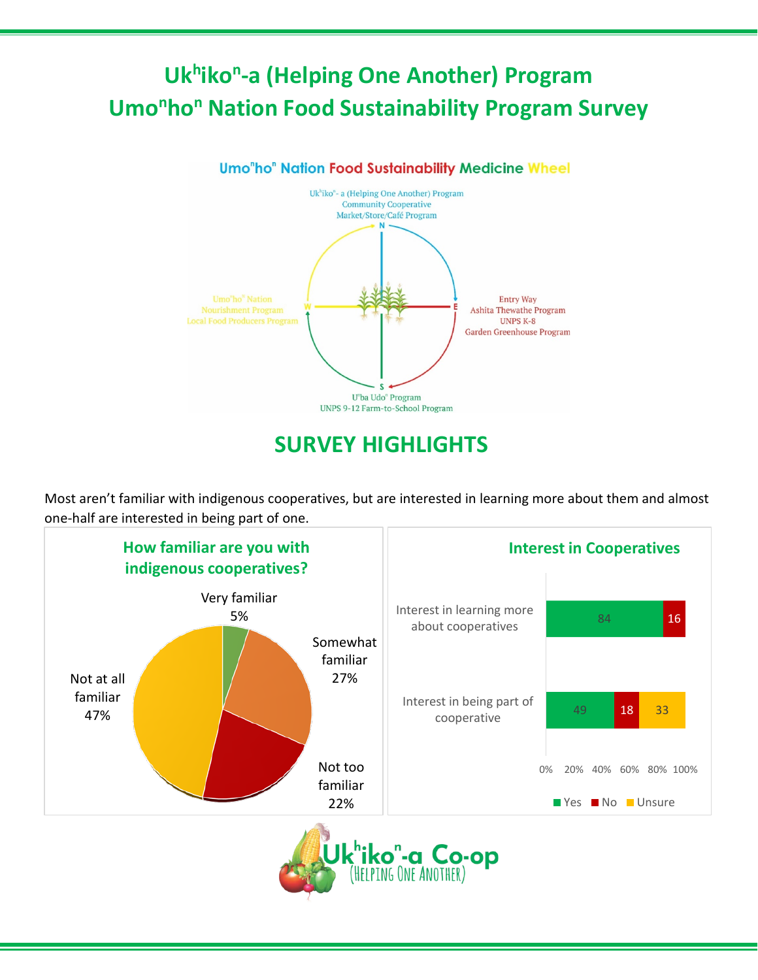## **Ukhikon-a (Helping One Another) Program Umo<sup>n</sup>ho<sup>n</sup> Nation Food Sustainability Program Survey**



## **SURVEY HIGHLIGHTS**

Most aren't familiar with indigenous cooperatives, but are interested in learning more about them and almost one-half are interested in being part of one.